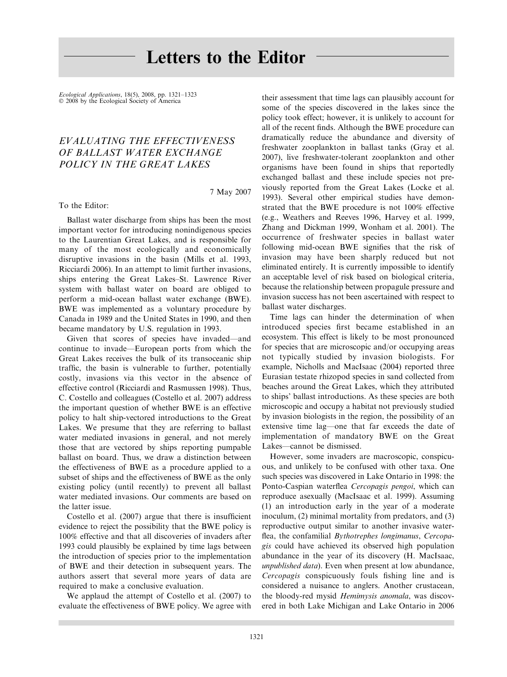## Letters to the Editor

Ecological Applications, 18(5), 2008, pp. 1321–1323  $© 2008$  by the Ecological Society of America

## EVALUATING THE EFFECTIVENESS OF BALLAST WATER EXCHANGE POLICY IN THE GREAT LAKES

To the Editor:

7 May 2007

Ballast water discharge from ships has been the most important vector for introducing nonindigenous species to the Laurentian Great Lakes, and is responsible for many of the most ecologically and economically disruptive invasions in the basin (Mills et al. 1993, Ricciardi 2006). In an attempt to limit further invasions, ships entering the Great Lakes–St. Lawrence River system with ballast water on board are obliged to perform a mid-ocean ballast water exchange (BWE). BWE was implemented as a voluntary procedure by Canada in 1989 and the United States in 1990, and then became mandatory by U.S. regulation in 1993.

Given that scores of species have invaded—and continue to invade—European ports from which the Great Lakes receives the bulk of its transoceanic ship traffic, the basin is vulnerable to further, potentially costly, invasions via this vector in the absence of effective control (Ricciardi and Rasmussen 1998). Thus, C. Costello and colleagues (Costello et al. 2007) address the important question of whether BWE is an effective policy to halt ship-vectored introductions to the Great Lakes. We presume that they are referring to ballast water mediated invasions in general, and not merely those that are vectored by ships reporting pumpable ballast on board. Thus, we draw a distinction between the effectiveness of BWE as a procedure applied to a subset of ships and the effectiveness of BWE as the only existing policy (until recently) to prevent all ballast water mediated invasions. Our comments are based on the latter issue.

Costello et al. (2007) argue that there is insufficient evidence to reject the possibility that the BWE policy is 100% effective and that all discoveries of invaders after 1993 could plausibly be explained by time lags between the introduction of species prior to the implementation of BWE and their detection in subsequent years. The authors assert that several more years of data are required to make a conclusive evaluation.

We applaud the attempt of Costello et al. (2007) to evaluate the effectiveness of BWE policy. We agree with their assessment that time lags can plausibly account for some of the species discovered in the lakes since the policy took effect; however, it is unlikely to account for all of the recent finds. Although the BWE procedure can dramatically reduce the abundance and diversity of freshwater zooplankton in ballast tanks (Gray et al. 2007), live freshwater-tolerant zooplankton and other organisms have been found in ships that reportedly exchanged ballast and these include species not previously reported from the Great Lakes (Locke et al. 1993). Several other empirical studies have demonstrated that the BWE procedure is not 100% effective (e.g., Weathers and Reeves 1996, Harvey et al. 1999, Zhang and Dickman 1999, Wonham et al. 2001). The occurrence of freshwater species in ballast water following mid-ocean BWE signifies that the risk of invasion may have been sharply reduced but not eliminated entirely. It is currently impossible to identify an acceptable level of risk based on biological criteria, because the relationship between propagule pressure and invasion success has not been ascertained with respect to ballast water discharges.

Time lags can hinder the determination of when introduced species first became established in an ecosystem. This effect is likely to be most pronounced for species that are microscopic and/or occupying areas not typically studied by invasion biologists. For example, Nicholls and MacIsaac (2004) reported three Eurasian testate rhizopod species in sand collected from beaches around the Great Lakes, which they attributed to ships' ballast introductions. As these species are both microscopic and occupy a habitat not previously studied by invasion biologists in the region, the possibility of an extensive time lag—one that far exceeds the date of implementation of mandatory BWE on the Great Lakes—cannot be dismissed.

However, some invaders are macroscopic, conspicuous, and unlikely to be confused with other taxa. One such species was discovered in Lake Ontario in 1998: the Ponto-Caspian waterflea Cercopagis pengoi, which can reproduce asexually (MacIsaac et al. 1999). Assuming (1) an introduction early in the year of a moderate inoculum, (2) minimal mortality from predators, and (3) reproductive output similar to another invasive waterflea, the confamilial *Bythotrephes longimanus*, *Cercopa*gis could have achieved its observed high population abundance in the year of its discovery (H. MacIsaac, unpublished data). Even when present at low abundance, Cercopagis conspicuously fouls fishing line and is considered a nuisance to anglers. Another crustacean, the bloody-red mysid Hemimysis anomala, was discovered in both Lake Michigan and Lake Ontario in 2006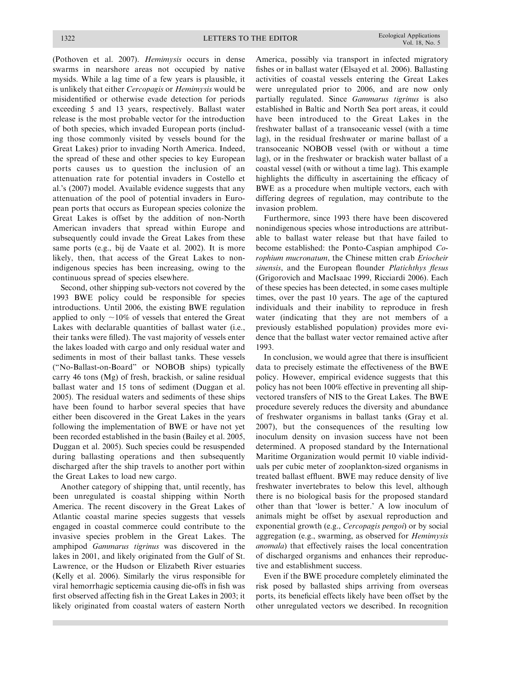(Pothoven et al. 2007). Hemimysis occurs in dense swarms in nearshore areas not occupied by native mysids. While a lag time of a few years is plausible, it is unlikely that either Cercopagis or Hemimysis would be misidentified or otherwise evade detection for periods exceeding 5 and 13 years, respectively. Ballast water release is the most probable vector for the introduction of both species, which invaded European ports (including those commonly visited by vessels bound for the Great Lakes) prior to invading North America. Indeed, the spread of these and other species to key European ports causes us to question the inclusion of an attenuation rate for potential invaders in Costello et al.'s (2007) model. Available evidence suggests that any attenuation of the pool of potential invaders in European ports that occurs as European species colonize the Great Lakes is offset by the addition of non-North American invaders that spread within Europe and subsequently could invade the Great Lakes from these same ports (e.g., bij de Vaate et al. 2002). It is more likely, then, that access of the Great Lakes to nonindigenous species has been increasing, owing to the continuous spread of species elsewhere.

Second, other shipping sub-vectors not covered by the 1993 BWE policy could be responsible for species introductions. Until 2006, the existing BWE regulation applied to only  $\sim$ 10% of vessels that entered the Great Lakes with declarable quantities of ballast water (i.e., their tanks were filled). The vast majority of vessels enter the lakes loaded with cargo and only residual water and sediments in most of their ballast tanks. These vessels (''No-Ballast-on-Board'' or NOBOB ships) typically carry 46 tons (Mg) of fresh, brackish, or saline residual ballast water and 15 tons of sediment (Duggan et al. 2005). The residual waters and sediments of these ships have been found to harbor several species that have either been discovered in the Great Lakes in the years following the implementation of BWE or have not yet been recorded established in the basin (Bailey et al. 2005, Duggan et al. 2005). Such species could be resuspended during ballasting operations and then subsequently discharged after the ship travels to another port within the Great Lakes to load new cargo.

Another category of shipping that, until recently, has been unregulated is coastal shipping within North America. The recent discovery in the Great Lakes of Atlantic coastal marine species suggests that vessels engaged in coastal commerce could contribute to the invasive species problem in the Great Lakes. The amphipod Gammarus tigrinus was discovered in the lakes in 2001, and likely originated from the Gulf of St. Lawrence, or the Hudson or Elizabeth River estuaries (Kelly et al. 2006). Similarly the virus responsible for viral hemorrhagic septicemia causing die-offs in fish was first observed affecting fish in the Great Lakes in 2003; it likely originated from coastal waters of eastern North

America, possibly via transport in infected migratory fishes or in ballast water (Elsayed et al. 2006). Ballasting activities of coastal vessels entering the Great Lakes were unregulated prior to 2006, and are now only partially regulated. Since Gammarus tigrinus is also established in Baltic and North Sea port areas, it could have been introduced to the Great Lakes in the freshwater ballast of a transoceanic vessel (with a time lag), in the residual freshwater or marine ballast of a transoceanic NOBOB vessel (with or without a time lag), or in the freshwater or brackish water ballast of a coastal vessel (with or without a time lag). This example highlights the difficulty in ascertaining the efficacy of BWE as a procedure when multiple vectors, each with differing degrees of regulation, may contribute to the invasion problem.

Furthermore, since 1993 there have been discovered nonindigenous species whose introductions are attributable to ballast water release but that have failed to become established: the Ponto-Caspian amphipod Corophium mucronatum, the Chinese mitten crab Eriocheir sinensis, and the European flounder Platichthys flesus (Grigorovich and MacIsaac 1999, Ricciardi 2006). Each of these species has been detected, in some cases multiple times, over the past 10 years. The age of the captured individuals and their inability to reproduce in fresh water (indicating that they are not members of a previously established population) provides more evidence that the ballast water vector remained active after 1993.

In conclusion, we would agree that there is insufficient data to precisely estimate the effectiveness of the BWE policy. However, empirical evidence suggests that this policy has not been 100% effective in preventing all shipvectored transfers of NIS to the Great Lakes. The BWE procedure severely reduces the diversity and abundance of freshwater organisms in ballast tanks (Gray et al. 2007), but the consequences of the resulting low inoculum density on invasion success have not been determined. A proposed standard by the International Maritime Organization would permit 10 viable individuals per cubic meter of zooplankton-sized organisms in treated ballast effluent. BWE may reduce density of live freshwater invertebrates to below this level, although there is no biological basis for the proposed standard other than that 'lower is better.' A low inoculum of animals might be offset by asexual reproduction and exponential growth (e.g., Cercopagis pengoi) or by social aggregation (e.g., swarming, as observed for Hemimysis anomala) that effectively raises the local concentration of discharged organisms and enhances their reproductive and establishment success.

Even if the BWE procedure completely eliminated the risk posed by ballasted ships arriving from overseas ports, its beneficial effects likely have been offset by the other unregulated vectors we described. In recognition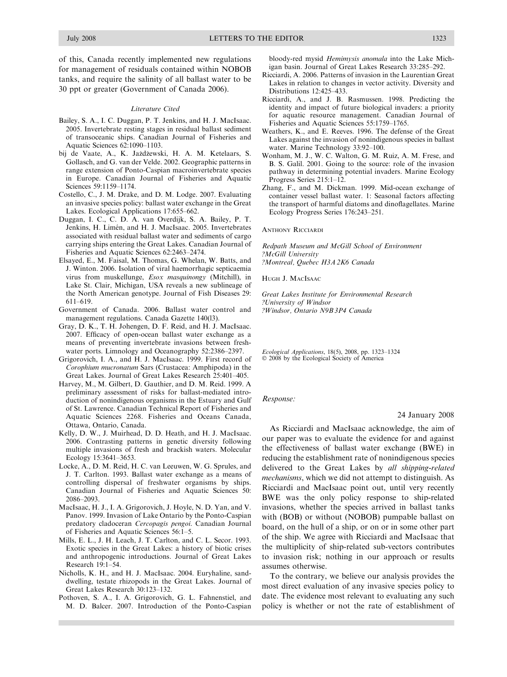of this, Canada recently implemented new regulations for management of residuals contained within NOBOB tanks, and require the salinity of all ballast water to be 30 ppt or greater (Government of Canada 2006).

## Literature Cited

- Bailey, S. A., I. C. Duggan, P. T. Jenkins, and H. J. MacIsaac. 2005. Invertebrate resting stages in residual ballast sediment of transoceanic ships. Canadian Journal of Fisheries and Aquatic Sciences 62:1090–1103.
- bij de Vaate, A., K. Jażdżewski, H. A. M. Ketelaars, S. Gollasch, and G. van der Velde. 2002. Geographic patterns in range extension of Ponto-Caspian macroinvertebrate species in Europe. Canadian Journal of Fisheries and Aquatic Sciences 59:1159–1174.
- Costello, C., J. M. Drake, and D. M. Lodge. 2007. Evaluating an invasive species policy: ballast water exchange in the Great Lakes. Ecological Applications 17:655–662.
- Duggan, I. C., C. D. A. van Overdijk, S. A. Bailey, P. T. Jenkins, H. Limén, and H. J. MacIsaac. 2005. Invertebrates associated with residual ballast water and sediments of cargo carrying ships entering the Great Lakes. Canadian Journal of Fisheries and Aquatic Sciences 62:2463–2474.
- Elsayed, E., M. Faisal, M. Thomas, G. Whelan, W. Batts, and J. Winton. 2006. Isolation of viral haemorrhagic septicaemia virus from muskellunge, Esox masquinongy (Mitchill), in Lake St. Clair, Michigan, USA reveals a new sublineage of the North American genotype. Journal of Fish Diseases 29: 611–619.
- Government of Canada. 2006. Ballast water control and management regulations. Canada Gazette 140(l3).
- Gray, D. K., T. H. Johengen, D. F. Reid, and H. J. MacIsaac. 2007. Efficacy of open-ocean ballast water exchange as a means of preventing invertebrate invasions between freshwater ports. Limnology and Oceanography 52:2386–2397.
- Grigorovich, I. A., and H. J. MacIsaac. 1999. First record of Corophium mucronatum Sars (Crustacea: Amphipoda) in the Great Lakes. Journal of Great Lakes Research 25:401–405.
- Harvey, M., M. Gilbert, D. Gauthier, and D. M. Reid. 1999. A preliminary assessment of risks for ballast-mediated introduction of nonindigenous organisms in the Estuary and Gulf of St. Lawrence. Canadian Technical Report of Fisheries and Aquatic Sciences 2268. Fisheries and Oceans Canada, Ottawa, Ontario, Canada.
- Kelly, D. W., J. Muirhead, D. D. Heath, and H. J. MacIsaac. 2006. Contrasting patterns in genetic diversity following multiple invasions of fresh and brackish waters. Molecular Ecology 15:3641–3653.
- Locke, A., D. M. Reid, H. C. van Leeuwen, W. G. Sprules, and J. T. Carlton. 1993. Ballast water exchange as a means of controlling dispersal of freshwater organisms by ships. Canadian Journal of Fisheries and Aquatic Sciences 50: 2086–2093.
- MacIsaac, H. J., I. A. Grigorovich, J. Hoyle, N. D. Yan, and V. Panov. 1999. Invasion of Lake Ontario by the Ponto-Caspian predatory cladoceran Cercopagis pengoi. Canadian Journal of Fisheries and Aquatic Sciences 56:1–5.
- Mills, E. L., J. H. Leach, J. T. Carlton, and C. L. Secor. 1993. Exotic species in the Great Lakes: a history of biotic crises and anthropogenic introductions. Journal of Great Lakes Research 19:1–54.
- Nicholls, K. H., and H. J. MacIsaac. 2004. Euryhaline, sanddwelling, testate rhizopods in the Great Lakes. Journal of Great Lakes Research 30:123–132.
- Pothoven, S. A., I. A. Grigorovich, G. L. Fahnenstiel, and M. D. Balcer. 2007. Introduction of the Ponto-Caspian

bloody-red mysid Hemimysis anomala into the Lake Michigan basin. Journal of Great Lakes Research 33:285–292.

- Ricciardi, A. 2006. Patterns of invasion in the Laurentian Great Lakes in relation to changes in vector activity. Diversity and Distributions 12:425–433.
- Ricciardi, A., and J. B. Rasmussen. 1998. Predicting the identity and impact of future biological invaders: a priority for aquatic resource management. Canadian Journal of Fisheries and Aquatic Sciences 55:1759–1765.
- Weathers, K., and E. Reeves. 1996. The defense of the Great Lakes against the invasion of nonindigenous species in ballast water. Marine Technology 33:92–100.
- Wonham, M. J., W. C. Walton, G. M. Ruiz, A. M. Frese, and B. S. Galil. 2001. Going to the source: role of the invasion pathway in determining potential invaders. Marine Ecology Progress Series 215:1–12.
- Zhang, F., and M. Dickman. 1999. Mid-ocean exchange of container vessel ballast water. 1: Seasonal factors affecting the transport of harmful diatoms and dinoflagellates. Marine Ecology Progress Series 176:243–251.

ANTHONY RICCIARDI

Redpath Museum and McGill School of Environment ?McGill University ?Montreal, Quebec H3A 2K6 Canada

HUGH J. MACISAAC

Great Lakes Institute for Environmental Research ?University of Windsor ?Windsor, Ontario N9B 3P4 Canada

Ecological Applications, 18(5), 2008, pp. 1323–1324  $\odot$  2008 by the Ecological Society of America

Response:

## 24 January 2008

As Ricciardi and MacIsaac acknowledge, the aim of our paper was to evaluate the evidence for and against the effectiveness of ballast water exchange (BWE) in reducing the establishment rate of nonindigenous species delivered to the Great Lakes by all shipping-related mechanisms, which we did not attempt to distinguish. As Ricciardi and MacIsaac point out, until very recently BWE was the only policy response to ship-related invasions, whether the species arrived in ballast tanks with (BOB) or without (NOBOB) pumpable ballast on board, on the hull of a ship, or on or in some other part of the ship. We agree with Ricciardi and MacIsaac that the multiplicity of ship-related sub-vectors contributes to invasion risk; nothing in our approach or results assumes otherwise.

To the contrary, we believe our analysis provides the most direct evaluation of any invasive species policy to date. The evidence most relevant to evaluating any such policy is whether or not the rate of establishment of